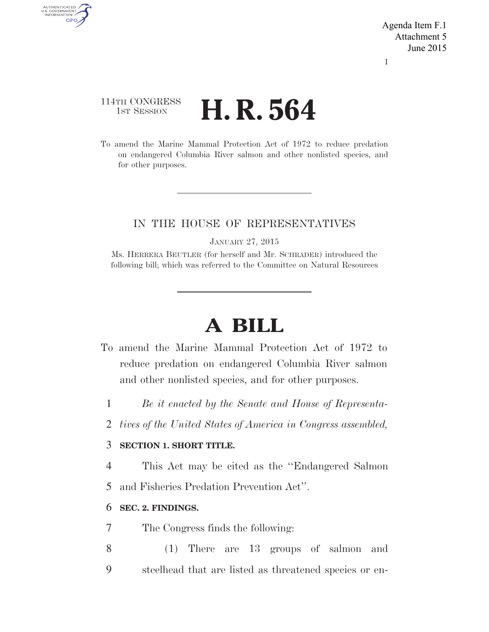Agenda Item F.1 Attachment 5 June 2015

I

## 114TH CONGRESS **1st Session H. R. 564**

AUTHENTICATED<br>U.S. GOVERNMENT<br>INFORMATION GPO

> To amend the Marine Mammal Protection Act of 1972 to reduce predation on endangered Columbia River salmon and other nonlisted species, and for other purposes.

### IN THE HOUSE OF REPRESENTATIVES

JANUARY 27, 2015

Ms. HERRERA BEUTLER (for herself and Mr. SCHRADER) introduced the following bill; which was referred to the Committee on Natural Resources

# **A BILL**

- To amend the Marine Mammal Protection Act of 1972 to reduce predation on endangered Columbia River salmon and other nonlisted species, and for other purposes.
	- 1 *Be it enacted by the Senate and House of Representa-*
	- 2 *tives of the United States of America in Congress assembled,*

### 3 **SECTION 1. SHORT TITLE.**

4 This Act may be cited as the ''Endangered Salmon

5 and Fisheries Predation Prevention Act''.

#### 6 **SEC. 2. FINDINGS.**

- 7 The Congress finds the following:
- 8 (1) There are 13 groups of salmon and 9 steelhead that are listed as threatened species or en-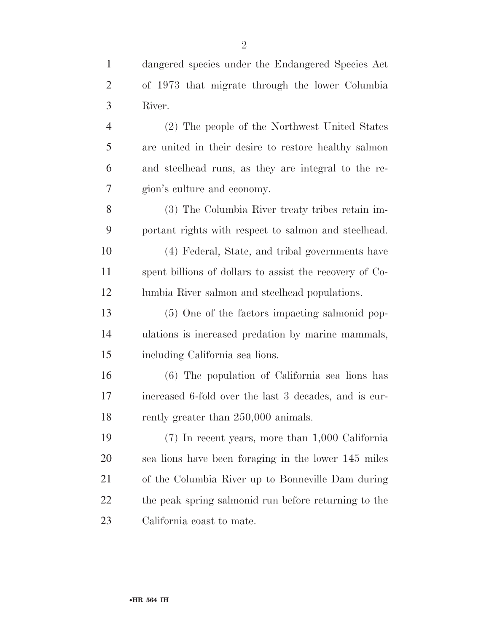| $\mathbf{1}$   | dangered species under the Endangered Species Act       |
|----------------|---------------------------------------------------------|
| $\overline{2}$ | of 1973 that migrate through the lower Columbia         |
| 3              | River.                                                  |
| $\overline{4}$ | (2) The people of the Northwest United States           |
| 5              | are united in their desire to restore healthy salmon    |
| 6              | and steelhead runs, as they are integral to the re-     |
| 7              | gion's culture and economy.                             |
| 8              | (3) The Columbia River treaty tribes retain im-         |
| 9              | portant rights with respect to salmon and steelhead.    |
| 10             | (4) Federal, State, and tribal governments have         |
| 11             | spent billions of dollars to assist the recovery of Co- |
| 12             | lumbia River salmon and steelhead populations.          |
| 13             | (5) One of the factors impacting salmonid pop-          |
| 14             | ulations is increased predation by marine mammals,      |
| 15             | including California sea lions.                         |
| 16             | (6) The population of California sea lions has          |
| 17             | increased 6-fold over the last 3 decades, and is cur-   |
| 18             | rently greater than 250,000 animals.                    |
| 19             | $(7)$ In recent years, more than 1,000 California       |
| 20             | sea lions have been foraging in the lower 145 miles     |
| 21             | of the Columbia River up to Bonneville Dam during       |
| 22             | the peak spring salmonid run before returning to the    |
| 23             | California coast to mate.                               |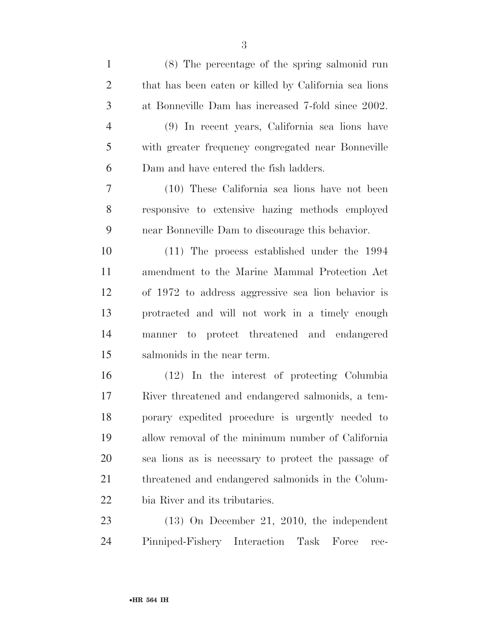| $\mathbf{1}$   | (8) The percentage of the spring salmonid run         |
|----------------|-------------------------------------------------------|
| $\overline{2}$ | that has been eaten or killed by California sea lions |
| 3              | at Bonneville Dam has increased 7-fold since 2002.    |
| $\overline{4}$ | (9) In recent years, California sea lions have        |
| 5              | with greater frequency congregated near Bonneville    |
| 6              | Dam and have entered the fish ladders.                |
| $\overline{7}$ | (10) These California sea lions have not been         |
| 8              | responsive to extensive hazing methods employed       |
| 9              | near Bonneville Dam to discourage this behavior.      |
| 10             | $(11)$ The process established under the 1994         |
| 11             | amendment to the Marine Mammal Protection Act         |
| 12             | of 1972 to address aggressive sea lion behavior is    |
| 13             | protracted and will not work in a timely enough       |
| 14             | manner to protect threatened and endangered           |
| 15             | salmonids in the near term.                           |
| 16             | (12) In the interest of protecting Columbia           |
| 17             | River threatened and endangered salmonids, a tem-     |
| 18             | porary expedited procedure is urgently needed to      |
| 19             | allow removal of the minimum number of California     |
| 20             | sea lions as is necessary to protect the passage of   |
| 21             | threatened and endangered salmonids in the Colum-     |
| 22             | bia River and its tributaries.                        |
| 23             | $(13)$ On December 21, 2010, the independent          |

Pinniped-Fishery Interaction Task Force rec-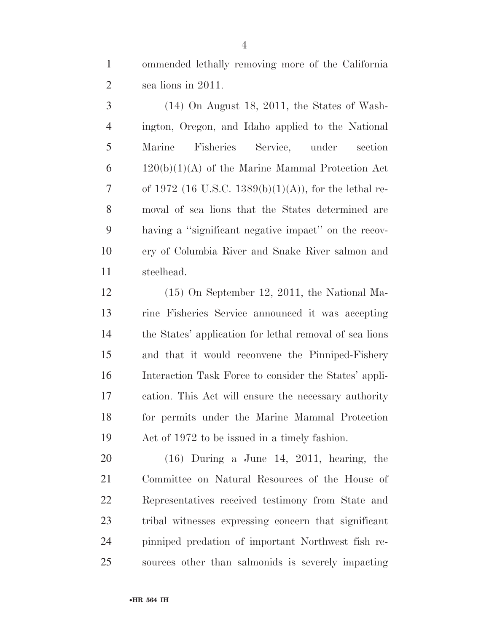ommended lethally removing more of the California sea lions in 2011.

 (14) On August 18, 2011, the States of Wash- ington, Oregon, and Idaho applied to the National Marine Fisheries Service, under section  $6 \qquad 120(b)(1)(A)$  of the Marine Mammal Protection Act 7 of 1972 (16 U.S.C. 1389(b)(1)(A)), for the lethal re- moval of sea lions that the States determined are having a ''significant negative impact'' on the recov- ery of Columbia River and Snake River salmon and steelhead.

 (15) On September 12, 2011, the National Ma- rine Fisheries Service announced it was accepting the States' application for lethal removal of sea lions and that it would reconvene the Pinniped-Fishery Interaction Task Force to consider the States' appli- cation. This Act will ensure the necessary authority for permits under the Marine Mammal Protection Act of 1972 to be issued in a timely fashion.

 (16) During a June 14, 2011, hearing, the Committee on Natural Resources of the House of Representatives received testimony from State and tribal witnesses expressing concern that significant pinniped predation of important Northwest fish re-sources other than salmonids is severely impacting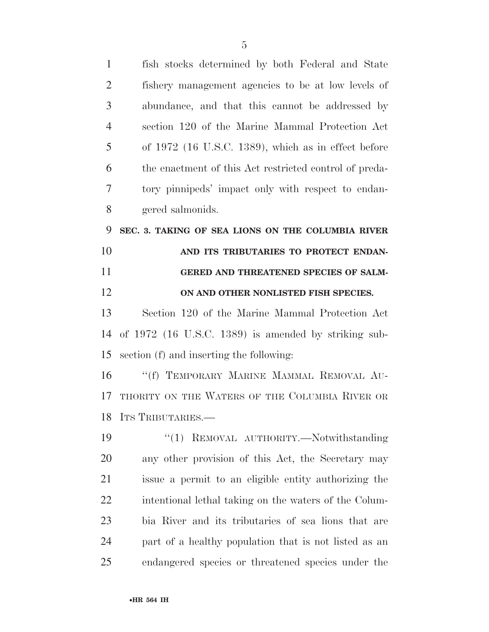| $\mathbf{1}$   | fish stocks determined by both Federal and State       |
|----------------|--------------------------------------------------------|
| $\overline{2}$ | fishery management agencies to be at low levels of     |
| 3              | abundance, and that this cannot be addressed by        |
| $\overline{4}$ | section 120 of the Marine Mammal Protection Act        |
| 5              | of $1972$ (16 U.S.C. 1389), which as in effect before  |
| 6              | the enactment of this Act restricted control of preda- |
| 7              | tory pinnipeds' impact only with respect to endan-     |
| 8              | gered salmonids.                                       |
| 9              | SEC. 3. TAKING OF SEA LIONS ON THE COLUMBIA RIVER      |
| 10             | AND ITS TRIBUTARIES TO PROTECT ENDAN-                  |
| 11             | GERED AND THREATENED SPECIES OF SALM-                  |
| 12             | ON AND OTHER NONLISTED FISH SPECIES.                   |
| 13             | Section 120 of the Marine Mammal Protection Act        |
| 14             | of $1972$ (16 U.S.C. 1389) is amended by striking sub- |
| 15             | section (f) and inserting the following:               |
| 16             | "(f) TEMPORARY MARINE MAMMAL REMOVAL AU-               |
| 17             | THORITY ON THE WATERS OF THE COLUMBIA RIVER OR         |
|                | 18 ITS TRIBUTARIES.                                    |
| 19             | REMOVAL AUTHORITY.-Notwithstanding<br>``(1)            |
| 20             | any other provision of this Act, the Secretary may     |
| 21             | issue a permit to an eligible entity authorizing the   |
| 22             | intentional lethal taking on the waters of the Colum-  |
| 23             | bia River and its tributaries of sea lions that are    |
| 24             | part of a healthy population that is not listed as an  |
| 25             | endangered species or threatened species under the     |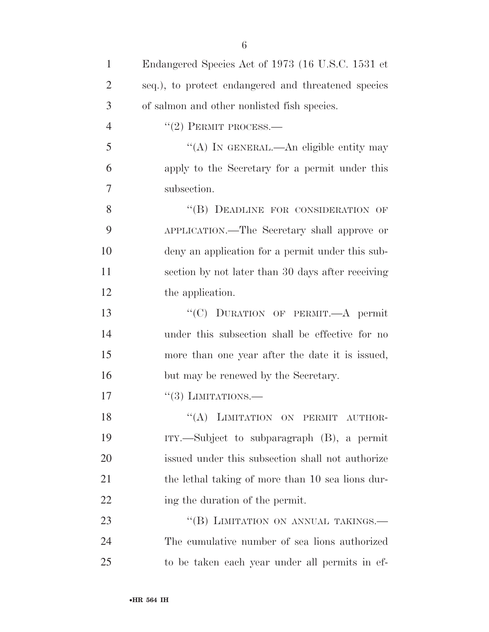| $\mathbf{1}$   | Endangered Species Act of 1973 (16 U.S.C. 1531 et   |
|----------------|-----------------------------------------------------|
| $\overline{2}$ | seq.), to protect endangered and threatened species |
| 3              | of salmon and other nonlisted fish species.         |
| $\overline{4}$ | $``(2)$ PERMIT PROCESS.—                            |
| 5              | "(A) In GENERAL.—An eligible entity may             |
| 6              | apply to the Secretary for a permit under this      |
| 7              | subsection.                                         |
| 8              | "(B) DEADLINE FOR CONSIDERATION OF                  |
| 9              | APPLICATION.—The Secretary shall approve or         |
| 10             | deny an application for a permit under this sub-    |
| 11             | section by not later than 30 days after receiving   |
| 12             | the application.                                    |
| 13             | "(C) DURATION OF PERMIT.—A permit                   |
| 14             | under this subsection shall be effective for no     |
| 15             | more than one year after the date it is issued,     |
| 16             | but may be renewed by the Secretary.                |
| 17             | $``(3)$ LIMITATIONS.—                               |
| 18             | "(A) LIMITATION ON PERMIT AUTHOR-                   |
| 19             | $ITY.$ Subject to subparagraph $(B)$ , a permit     |
| 20             | issued under this subsection shall not authorize    |
| 21             | the lethal taking of more than 10 sea lions dur-    |
| 22             | ing the duration of the permit.                     |
| 23             | "(B) LIMITATION ON ANNUAL TAKINGS.-                 |
| 24             | The cumulative number of sea lions authorized       |
| 25             | to be taken each year under all permits in ef-      |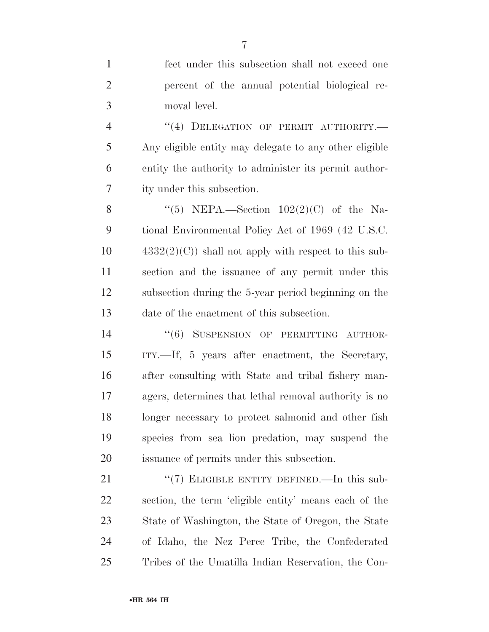fect under this subsection shall not exceed one percent of the annual potential biological re- moval level. 4 "(4) DELEGATION OF PERMIT AUTHORITY.— Any eligible entity may delegate to any other eligible entity the authority to administer its permit author- ity under this subsection. 8 "(5) NEPA.—Section  $102(2)(C)$  of the Na- tional Environmental Policy Act of 1969 (42 U.S.C.  $4332(2)(C)$  shall not apply with respect to this sub- section and the issuance of any permit under this subsection during the 5-year period beginning on the date of the enactment of this subsection. 14 "(6) SUSPENSION OF PERMITTING AUTHOR- ITY.—If, 5 years after enactment, the Secretary, after consulting with State and tribal fishery man- agers, determines that lethal removal authority is no longer necessary to protect salmonid and other fish species from sea lion predation, may suspend the issuance of permits under this subsection. 21 "(7) ELIGIBLE ENTITY DEFINED.—In this sub- section, the term 'eligible entity' means each of the State of Washington, the State of Oregon, the State of Idaho, the Nez Perce Tribe, the Confederated

Tribes of the Umatilla Indian Reservation, the Con-